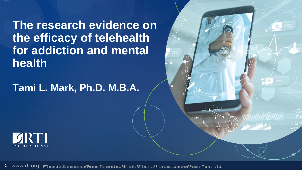**The research evidence on the efficacy of telehealth for addiction and mental health** 

#### **Tami L. Mark, Ph.D. M.B.A.**





 $Q(1)$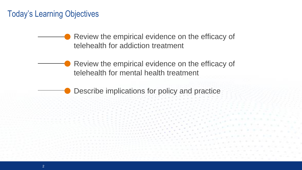#### Today's Learning Objectives

Review the empirical evidence on the efficacy of telehealth for addiction treatment

Review the empirical evidence on the efficacy of telehealth for mental health treatment

Describe implications for policy and practice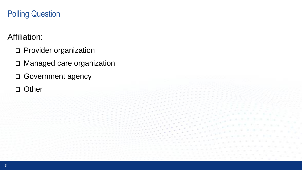#### Polling Question

#### Affiliation:

- ❑ Provider organization
- ❑ Managed care organization
- ❑ Government agency
- ❑ Other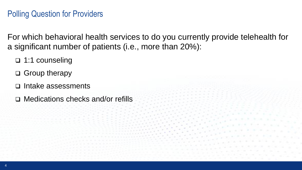#### Polling Question for Providers

For which behavioral health services to do you currently provide telehealth for a significant number of patients (i.e., more than 20%):

- ❑ 1:1 counseling
- ❑ Group therapy
- ❑ Intake assessments
- ❑ Medications checks and/or refills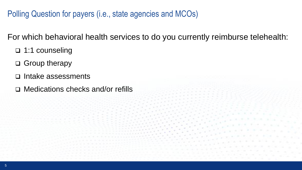Polling Question for payers (i.e., state agencies and MCOs)

For which behavioral health services to do you currently reimburse telehealth:

- ❑ 1:1 counseling
- ❑ Group therapy
- ❑ Intake assessments
- ❑ Medications checks and/or refills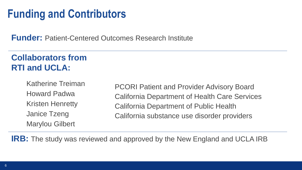### **Funding and Contributors**

**Funder:** Patient-Centered Outcomes Research Institute

#### **Collaborators from RTI and UCLA:**

Katherine Treiman Howard Padwa Kristen Henretty Janice Tzeng Marylou Gilbert

PCORI Patient and Provider Advisory Board California Department of Health Care Services California Department of Public Health California substance use disorder providers

**IRB:** The study was reviewed and approved by the New England and UCLA IRB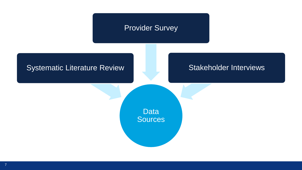

#### 7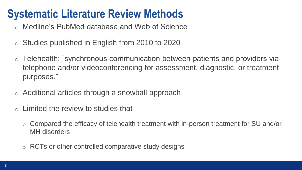## **Systematic Literature Review Methods**

- o Medline's PubMed database and Web of Science
- o Studies published in English from 2010 to 2020
- o Telehealth: "synchronous communication between patients and providers via telephone and/or videoconferencing for assessment, diagnostic, or treatment purposes."
- o Additional articles through a snowball approach
- $\circ$  Limited the review to studies that
	- o Compared the efficacy of telehealth treatment with in-person treatment for SU and/or MH disorders
	- o RCTs or other controlled comparative study designs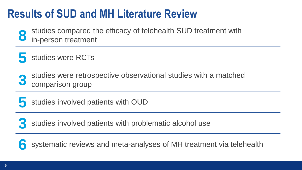## **Results of SUD and MH Literature Review**

**8** studies compared the efficacy of telehealth SUD treatment with in-person treatment



**3** studies were retrospective observational studies with a matched comparison group

**5** studies involved patients with OUD

**3** studies involved patients with problematic alcohol use

**6** systematic reviews and meta-analyses of MH treatment via telehealth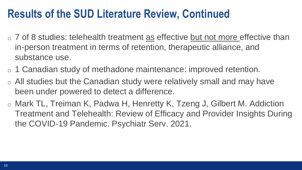#### **Results of the SUD Literature Review, Continued**

- o 7 of 8 studies: telehealth treatment as effective but not more effective than in-person treatment in terms of retention, therapeutic alliance, and substance use.
- o 1 Canadian study of methadone maintenance: improved retention.
- $\circ$  All studies but the Canadian study were relatively small and may have been under powered to detect a difference.
- o Mark TL, Treiman K, Padwa H, Henretty K, Tzeng J, Gilbert M. Addiction Treatment and Telehealth: Review of Efficacy and Provider Insights During the COVID-19 Pandemic. Psychiatr Serv. 2021.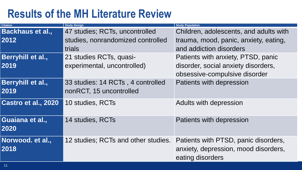## **Results of the MH Literature Review**

| <b>Citation</b>          | <b>Study Design</b>                 | <b>Study Population</b>                                                                          |
|--------------------------|-------------------------------------|--------------------------------------------------------------------------------------------------|
| <b>Backhaus et al.,</b>  | 47 studies; RCTs, uncontrolled      | Children, adolescents, and adults with                                                           |
| 2012                     | studies, nonrandomized controlled   | trauma, mood, panic, anxiety, eating,                                                            |
|                          | trials                              | and addiction disorders                                                                          |
| Berryhill et al.,        | 21 studies RCTs, quasi-             | Patients with anxiety, PTSD, panic                                                               |
| 2019                     | experimental, uncontrolled)         | disorder, social anxiety disorders,                                                              |
|                          |                                     | obsessive-compulsive disorder                                                                    |
| Berryhill et al.,        | 33 studies: 14 RCTs, 4 controlled   | Patients with depression                                                                         |
| 2019                     | nonRCT, 15 uncontrolled             |                                                                                                  |
| Castro et al., 2020      | 10 studies, RCTs                    | Adults with depression                                                                           |
| Guaiana et al.,<br>2020  | 14 studies, RCTs                    | Patients with depression                                                                         |
| Norwood. et al.,<br>2018 | 12 studies; RCTs and other studies. | Patients with PTSD, panic disorders,<br>anxiety, depression, mood disorders,<br>eating disorders |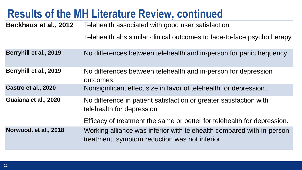## **Results of the MH Literature Review, continued**

**Backhaus et al., 2012** Telehealth associated with good user satisfaction

Telehealth ahs similar clinical outcomes to face-to-face psychotherapy

| Berryhill et al., 2019 | No differences between telehealth and in-person for panic frequency.                                                    |  |
|------------------------|-------------------------------------------------------------------------------------------------------------------------|--|
| Berryhill et al., 2019 | No differences between telehealth and in-person for depression<br>outcomes.                                             |  |
| Castro et al., 2020    | Nonsignificant effect size in favor of telehealth for depression                                                        |  |
| Guaiana et al., 2020   | No difference in patient satisfaction or greater satisfaction with<br>telehealth for depression                         |  |
|                        | Efficacy of treatment the same or better for telehealth for depression.                                                 |  |
| Norwood. et al., 2018  | Working alliance was inferior with telehealth compared with in-person<br>treatment; symptom reduction was not inferior. |  |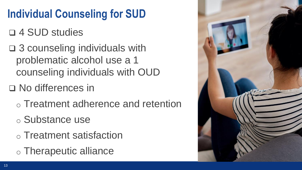# **Individual Counseling for SUD**

## ❑ 4 SUD studies

❑ 3 counseling individuals with problematic alcohol use a 1 counseling individuals with OUD

#### ❑ No differences in

- o Treatment adherence and retention
- o Substance use
- o Treatment satisfaction
- o Therapeutic alliance

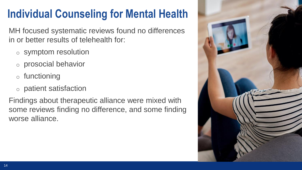# **Individual Counseling for Mental Health**

MH focused systematic reviews found no differences in or better results of telehealth for:

- o symptom resolution
- o prosocial behavior
- o functioning
- o patient satisfaction

Findings about therapeutic alliance were mixed with some reviews finding no difference, and some finding worse alliance.

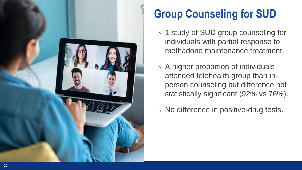

# **Group Counseling for SUD**

- o 1 study of SUD group counseling for individuals with partial response to methadone maintenance treatment.
- $\circ$  A higher proportion of individuals attended telehealth group than inperson counseling but difference not statistically significant (92% vs 76%).
- o No difference in positive-drug tests.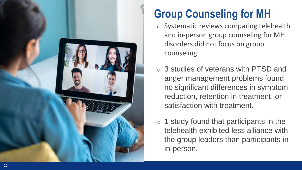

# **Group Counseling for MH**

- o Systematic reviews comparing telehealth and in -person group counseling for MH disorders did not focus on group counseling
- o 3 studies of veterans with PTSD and anger management problems found no significant differences in symptom reduction, retention in treatment, or satisfaction with treatment.
- $\circ$  1 study found that participants in the telehealth exhibited less alliance with the group leaders than participants in in -person.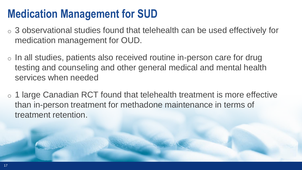## **Medication Management for SUD**

- o 3 observational studies found that telehealth can be used effectively for medication management for OUD.
- o In all studies, patients also received routine in-person care for drug testing and counseling and other general medical and mental health services when needed
- o 1 large Canadian RCT found that telehealth treatment is more effective than in-person treatment for methadone maintenance in terms of treatment retention.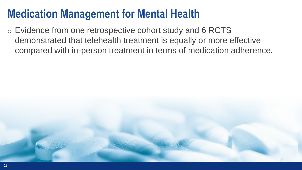### **Medication Management for Mental Health**

o Evidence from one retrospective cohort study and 6 RCTS demonstrated that telehealth treatment is equally or more effective compared with in-person treatment in terms of medication adherence.

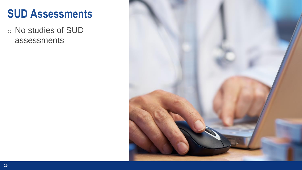#### **SUD Assessments**

o No studies of SUD assessments

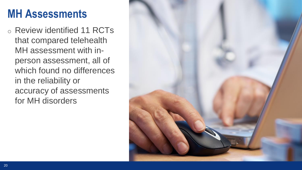### **MH Assessments**

o Review identified 11 RCTs that compared telehealth MH assessment with inperson assessment, all of which found no differences in the reliability or accuracy of assessments for MH disorders

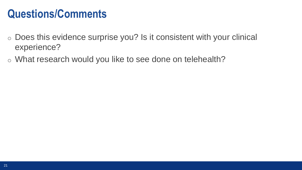#### **Questions/Comments**

- o Does this evidence surprise you? Is it consistent with your clinical experience?
- o What research would you like to see done on telehealth?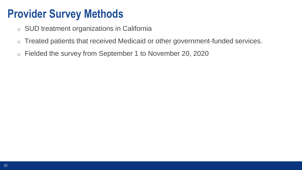## **Provider Survey Methods**

- o SUD treatment organizations in California
- o Treated patients that received Medicaid or other government-funded services.
- o Fielded the survey from September 1 to November 20, 2020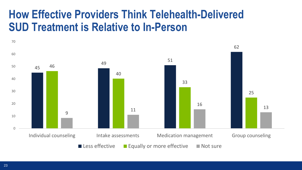## **How Effective Providers Think Telehealth-Delivered SUD Treatment is Relative to In-Person**

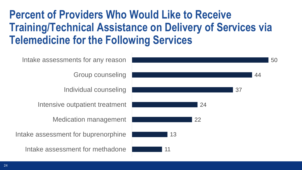## **Percent of Providers Who Would Like to Receive Training/Technical Assistance on Delivery of Services via Telemedicine for the Following Services**

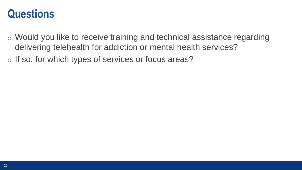#### **Questions**

- o Would you like to receive training and technical assistance regarding delivering telehealth for addiction or mental health services?
- o If so, for which types of services or focus areas?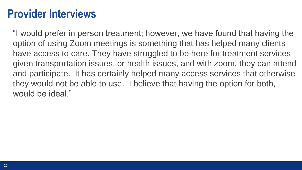#### **Provider Interviews**

"I would prefer in person treatment; however, we have found that having the option of using Zoom meetings is something that has helped many clients have access to care. They have struggled to be here for treatment services given transportation issues, or health issues, and with zoom, they can attend and participate. It has certainly helped many access services that otherwise they would not be able to use. I believe that having the option for both, would be ideal."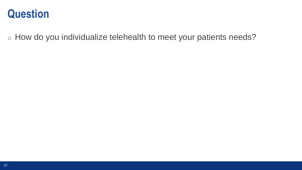

o How do you individualize telehealth to meet your patients needs?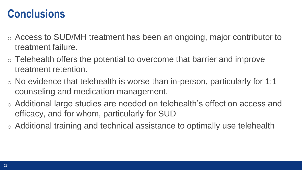#### **Conclusions**

- o Access to SUD/MH treatment has been an ongoing, major contributor to treatment failure.
- o Telehealth offers the potential to overcome that barrier and improve treatment retention.
- $\circ$  No evidence that telehealth is worse than in-person, particularly for 1:1 counseling and medication management.
- o Additional large studies are needed on telehealth's effect on access and efficacy, and for whom, particularly for SUD
- o Additional training and technical assistance to optimally use telehealth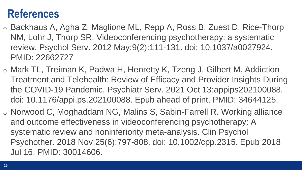#### **References**

- o Backhaus A, Agha Z, Maglione ML, Repp A, Ross B, Zuest D, Rice-Thorp NM, Lohr J, Thorp SR. Videoconferencing psychotherapy: a systematic review. Psychol Serv. 2012 May;9(2):111-131. doi: 10.1037/a0027924. PMID: 22662727
- o Mark TL, Treiman K, Padwa H, Henretty K, Tzeng J, Gilbert M. Addiction Treatment and Telehealth: Review of Efficacy and Provider Insights During the COVID-19 Pandemic. Psychiatr Serv. 2021 Oct 13:appips202100088. doi: 10.1176/appi.ps.202100088. Epub ahead of print. PMID: 34644125.
- o Norwood C, Moghaddam NG, Malins S, Sabin-Farrell R. Working alliance and outcome effectiveness in videoconferencing psychotherapy: A systematic review and noninferiority meta-analysis. Clin Psychol Psychother. 2018 Nov;25(6):797-808. doi: 10.1002/cpp.2315. Epub 2018 Jul 16. PMID: 30014606.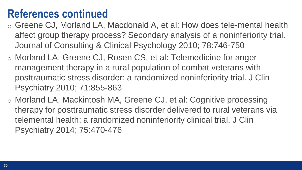#### **References continued**

- o Greene CJ, Morland LA, Macdonald A, et al: How does tele-mental health affect group therapy process? Secondary analysis of a noninferiority trial. Journal of Consulting & Clinical Psychology 2010; 78:746-750
- o Morland LA, Greene CJ, Rosen CS, et al: Telemedicine for anger management therapy in a rural population of combat veterans with posttraumatic stress disorder: a randomized noninferiority trial. J Clin Psychiatry 2010; 71:855-863
- o Morland LA, Mackintosh MA, Greene CJ, et al: Cognitive processing therapy for posttraumatic stress disorder delivered to rural veterans via telemental health: a randomized noninferiority clinical trial. J Clin Psychiatry 2014; 75:470-476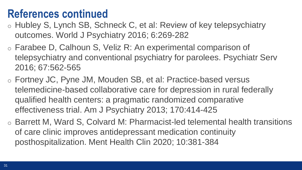#### **References continued**

- o Hubley S, Lynch SB, Schneck C, et al: Review of key telepsychiatry outcomes. World J Psychiatry 2016; 6:269-282
- o Farabee D, Calhoun S, Veliz R: An experimental comparison of telepsychiatry and conventional psychiatry for parolees. Psychiatr Serv 2016; 67:562-565
- o Fortney JC, Pyne JM, Mouden SB, et al: Practice-based versus telemedicine-based collaborative care for depression in rural federally qualified health centers: a pragmatic randomized comparative effectiveness trial. Am J Psychiatry 2013; 170:414-425
- o Barrett M, Ward S, Colvard M: Pharmacist-led telemental health transitions of care clinic improves antidepressant medication continuity posthospitalization. Ment Health Clin 2020; 10:381-384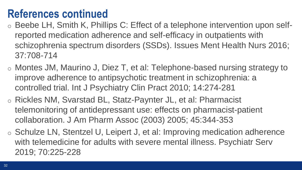## **References continued**

- o Beebe LH, Smith K, Phillips C: Effect of a telephone intervention upon selfreported medication adherence and self-efficacy in outpatients with schizophrenia spectrum disorders (SSDs). Issues Ment Health Nurs 2016; 37:708-714
- o Montes JM, Maurino J, Diez T, et al: Telephone-based nursing strategy to improve adherence to antipsychotic treatment in schizophrenia: a controlled trial. Int J Psychiatry Clin Pract 2010; 14:274-281
- o Rickles NM, Svarstad BL, Statz-Paynter JL, et al: Pharmacist telemonitoring of antidepressant use: effects on pharmacist-patient collaboration. J Am Pharm Assoc (2003) 2005; 45:344-353
- o Schulze LN, Stentzel U, Leipert J, et al: Improving medication adherence with telemedicine for adults with severe mental illness. Psychiatr Serv 2019; 70:225-228